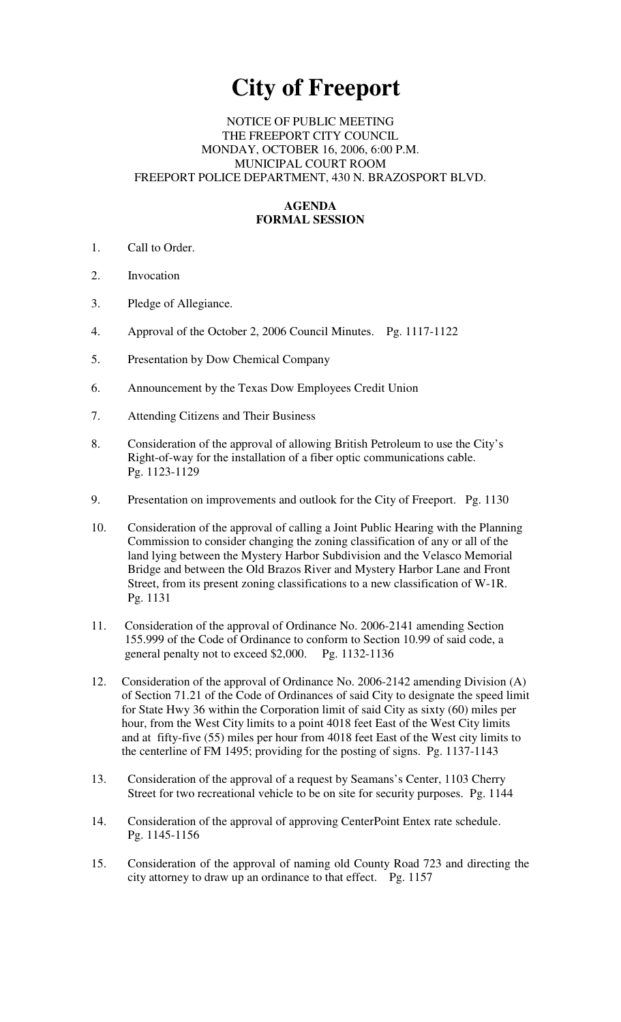# **City of Freeport**

#### NOTICE OF PUBLIC MEETING THE FREEPORT CITY COUNCIL MONDAY, OCTOBER 16, 2006, 6:00 P.M. MUNICIPAL COURT ROOM FREEPORT POLICE DEPARTMENT, 430 N. BRAZOSPORT BLVD.

## **AGENDA FORMAL SESSION**

- 1. Call to Order.
- 2. Invocation
- 3. Pledge of Allegiance.
- 4. Approval of the October 2, 2006 Council Minutes. Pg. 1117-1122
- 5. Presentation by Dow Chemical Company
- 6. Announcement by the Texas Dow Employees Credit Union
- 7. Attending Citizens and Their Business
- 8. Consideration of the approval of allowing British Petroleum to use the City's Right-of-way for the installation of a fiber optic communications cable. Pg. 1123-1129
- 9. Presentation on improvements and outlook for the City of Freeport. Pg. 1130
- 10. Consideration of the approval of calling a Joint Public Hearing with the Planning Commission to consider changing the zoning classification of any or all of the land lying between the Mystery Harbor Subdivision and the Velasco Memorial Bridge and between the Old Brazos River and Mystery Harbor Lane and Front Street, from its present zoning classifications to a new classification of W-1R. Pg. 1131
- 11. Consideration of the approval of Ordinance No. 2006-2141 amending Section 155.999 of the Code of Ordinance to conform to Section 10.99 of said code, a general penalty not to exceed \$2,000. Pg. 1132-1136
- 12. Consideration of the approval of Ordinance No. 2006-2142 amending Division (A) of Section 71.21 of the Code of Ordinances of said City to designate the speed limit for State Hwy 36 within the Corporation limit of said City as sixty (60) miles per hour, from the West City limits to a point 4018 feet East of the West City limits and at fifty-five (55) miles per hour from 4018 feet East of the West city limits to the centerline of FM 1495; providing for the posting of signs. Pg. 1137-1143
- 13. Consideration of the approval of a request by Seamans's Center, 1103 Cherry Street for two recreational vehicle to be on site for security purposes. Pg. 1144
- 14. Consideration of the approval of approving CenterPoint Entex rate schedule. Pg. 1145-1156
- 15. Consideration of the approval of naming old County Road 723 and directing the city attorney to draw up an ordinance to that effect. Pg. 1157